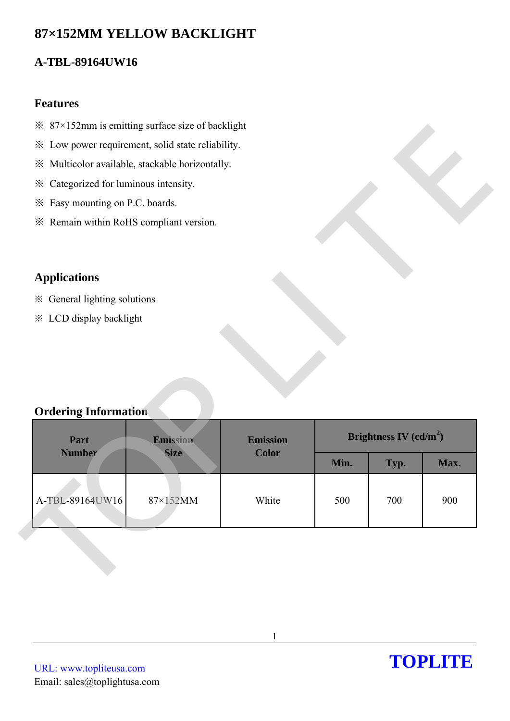# **87×152MM YELLOW BACKLIGHT**

## **A-TBL-89164UW16**

### **Features**

- $\frac{1}{2}$  87×152mm is emitting surface size of backlight
- ※ Low power requirement, solid state reliability.
- ※ Multicolor available, stackable horizontally.
- ※ Categorized for luminous intensity.
- ※ Easy mounting on P.C. boards.
- ※ Remain within RoHS compliant version.

## **Applications**

- ※ General lighting solutions
- ※ LCD display backlight

## **Ordering Information**

| Max.                     |
|--------------------------|
|                          |
|                          |
| 900                      |
| Brightness IV $(cd/m^2)$ |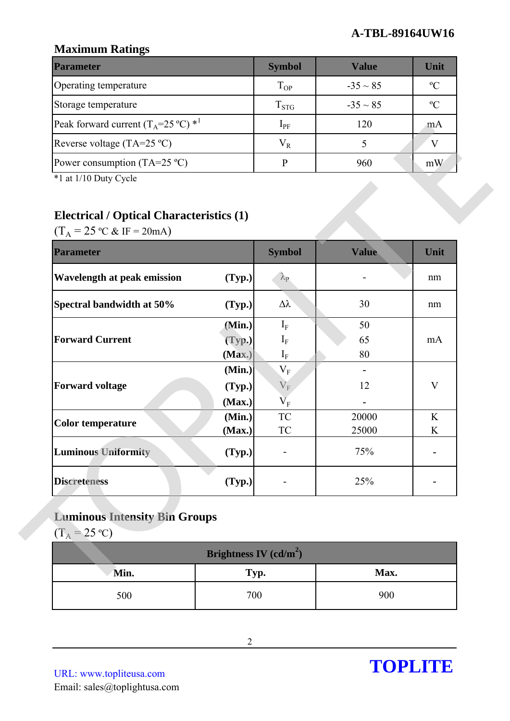### **A-TBL-89164UW16**

## **Maximum Ratings**

| <b>Parameter</b>                                        | <b>Symbol</b> | Value         | Unit      |
|---------------------------------------------------------|---------------|---------------|-----------|
| Operating temperature                                   | $T_{OP}$      | $-35 \sim 85$ | $\rm ^oC$ |
| Storage temperature                                     | $T_{STG}$     | $-35 \sim 85$ | $\rm ^oC$ |
| Peak forward current $(T_A=25 \degree C)$ <sup>*1</sup> | $1_{\rm PF}$  | 120           | mA        |
| Reverse voltage (TA=25 $^{\circ}$ C)                    | $\rm V_R$     |               |           |
| Power consumption (TA=25 $^{\circ}$ C)                  |               | 960           | mW        |

## **Electrical / Optical Characteristics (1)**

| I can forward current $(1_A 2J V)$                                                                                                |                          | ∙гр+                                     | $1 \angle U$ | TITY F                    |
|-----------------------------------------------------------------------------------------------------------------------------------|--------------------------|------------------------------------------|--------------|---------------------------|
| Reverse voltage $(TA=25 °C)$                                                                                                      |                          | $V_R$                                    | 5            | V                         |
| Power consumption $(TA=25 \degree C)$                                                                                             |                          | $\mathbf{P}$                             | 960          | mW                        |
| *1 at 1/10 Duty Cycle<br><b>Electrical / Optical Characteristics (1)</b><br>$(T_A = 25 \text{ °C} \& \text{ IF} = 20 \text{ mA})$ |                          |                                          |              |                           |
| <b>Parameter</b>                                                                                                                  |                          | <b>Symbol</b>                            | <b>Value</b> | Unit                      |
| <b>Wavelength at peak emission</b>                                                                                                | (Typ.)                   | $\lambda_{\rm P}$                        |              | nm                        |
| Spectral bandwidth at 50%                                                                                                         | (Typ.)                   | $\Delta \lambda$                         | 30           | nm                        |
|                                                                                                                                   | (Min.)                   | $I_F$                                    | 50           |                           |
| <b>Forward Current</b>                                                                                                            | (Typ.)                   | $I_{\rm F}$                              | 65           | mA                        |
|                                                                                                                                   | (Max.)                   | $I_F$                                    | 80           |                           |
| <b>Forward voltage</b>                                                                                                            | (Min.)                   | $\mathbf{V}_\mathrm{F}$                  |              |                           |
|                                                                                                                                   | (Typ.)                   | $\rm V_F$                                | 12           | $\boldsymbol{\mathrm{V}}$ |
|                                                                                                                                   | (Max.)<br>(Min.)         | $\rm V_F$<br>$\protect\operatorname{TC}$ | 20000        | K                         |
| <b>Color temperature</b>                                                                                                          | (Max.)                   | TC                                       | 25000        | K                         |
| <b>Luminous Uniformity</b>                                                                                                        | (Typ.)                   |                                          | 75%          |                           |
| <b>Discreteness</b>                                                                                                               | (Typ.)                   |                                          | 25%          |                           |
| <b>Luminous Intensity Bin Groups</b><br>$(T_A = 25 \text{ °C})$                                                                   |                          |                                          |              |                           |
|                                                                                                                                   | Brightness IV $(cd/m^2)$ |                                          |              |                           |
| Min.                                                                                                                              | Typ.                     |                                          | Max.         |                           |
| 500                                                                                                                               | 700                      |                                          | 900          |                           |

## **Luminous Intensity Bin Groups**

| Brightness IV $(cd/m^2)$ |      |      |  |  |  |
|--------------------------|------|------|--|--|--|
| Min.                     | Typ. | Max. |  |  |  |
| 500                      | 700  | 900  |  |  |  |

URL: www.topliteusa.com Email: sales@toplightusa.com

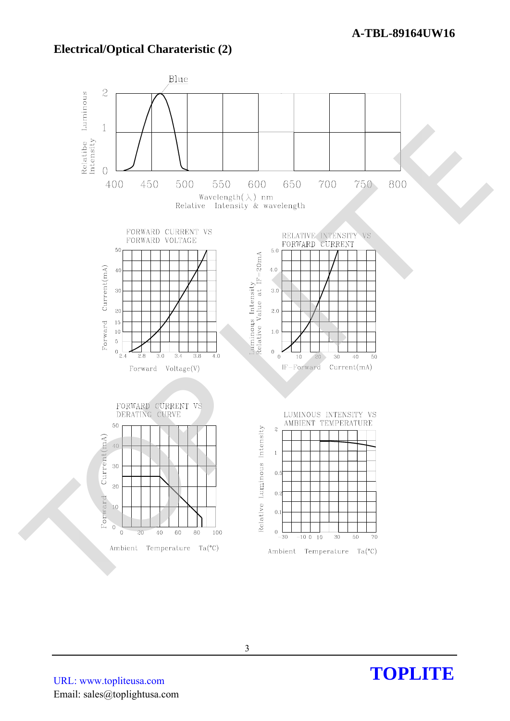### **Electrical/Optical Charateristic (2)**



**TOPLITE** 

URL: www.topliteusa.com Email: sales@toplightusa.com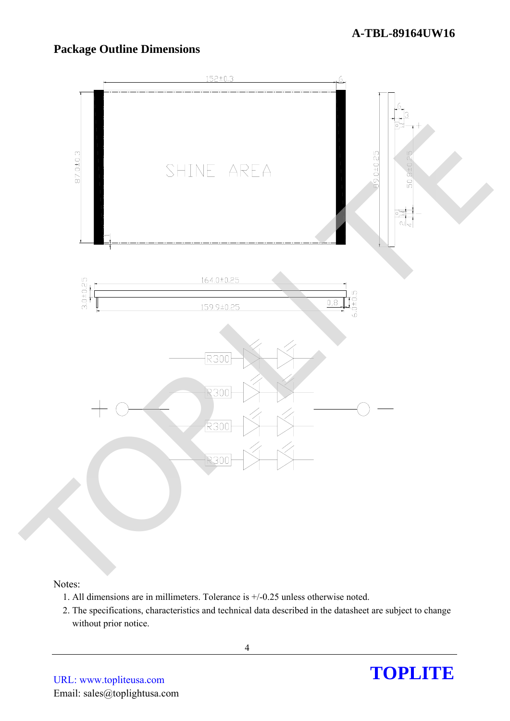#### **A-TBL-89164UW16**

## **Package Outline Dimensions**



#### Notes:

- 1. All dimensions are in millimeters. Tolerance is +/-0.25 unless otherwise noted.
- 2. The specifications, characteristics and technical data described in the datasheet are subject to change without prior notice.